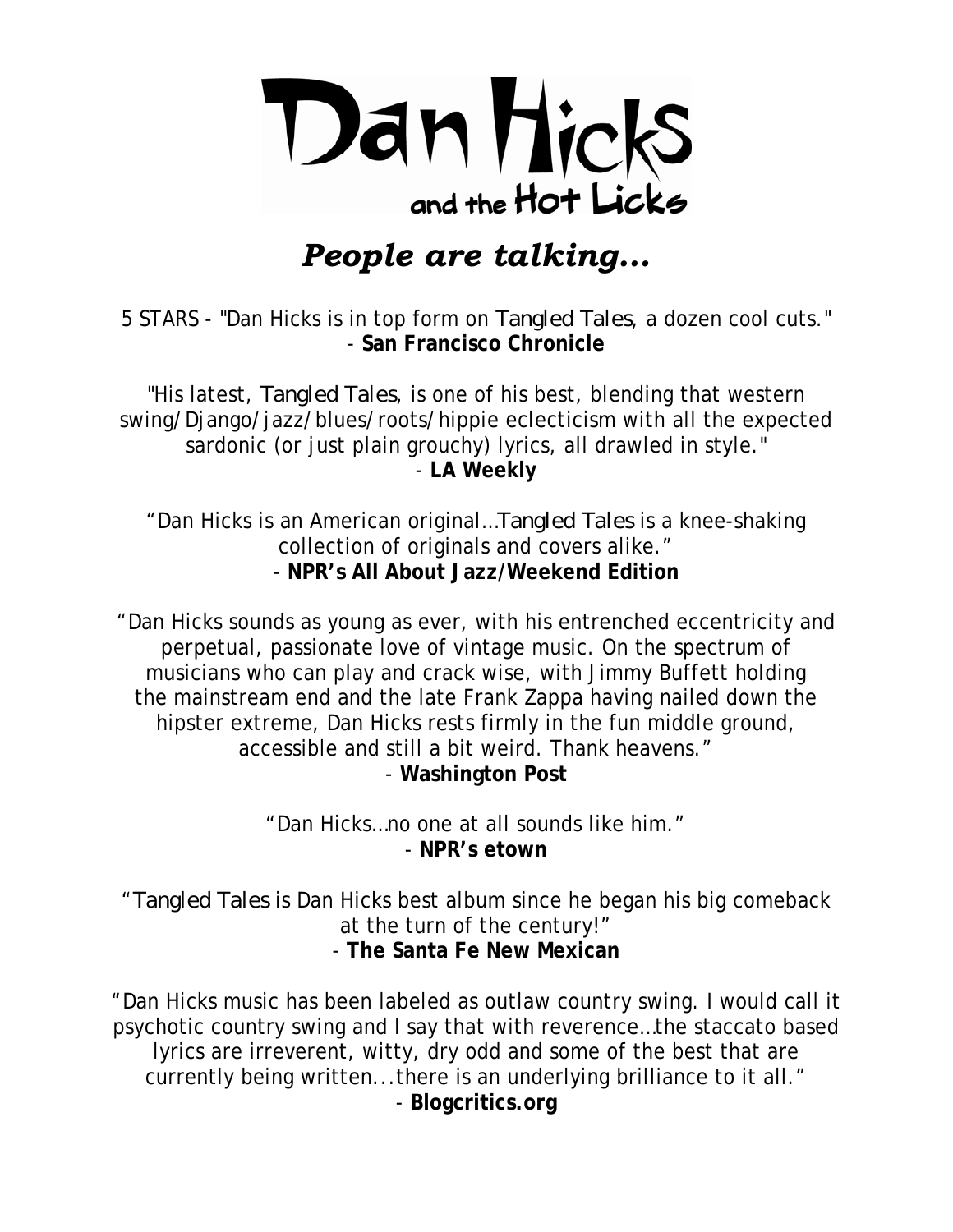

## *People are talking…*

5 STARS - "Dan Hicks is in top form on *Tangled Tales*, a dozen cool cuts." - **San Francisco Chronicle**

"His latest, *Tangled Tales*, is one of his best, blending that western swing/Django/jazz/blues/roots/hippie eclecticism with all the expected sardonic (or just plain grouchy) lyrics, all drawled in style." - **LA Weekly**

"Dan Hicks is an American original…*Tangled Tales* is a knee-shaking collection of originals and covers alike." - **NPR's All About Jazz/Weekend Edition** 

"Dan Hicks sounds as young as ever, with his entrenched eccentricity and perpetual, passionate love of vintage music. On the spectrum of musicians who can play and crack wise, with Jimmy Buffett holding the mainstream end and the late Frank Zappa having nailed down the hipster extreme, Dan Hicks rests firmly in the fun middle ground, accessible and still a bit weird. Thank heavens." - **Washington Post** 

> "Dan Hicks…no one at all sounds like him." - **NPR's etown**

"*Tangled Tales* is Dan Hicks best album since he began his big comeback at the turn of the century!" - **The Santa Fe New Mexican**

"Dan Hicks music has been labeled as outlaw country swing. I would call it psychotic country swing and I say that with reverence…the staccato based lyrics are irreverent, witty, dry odd and some of the best that are currently being written...there is an underlying brilliance to it all." - **Blogcritics.org**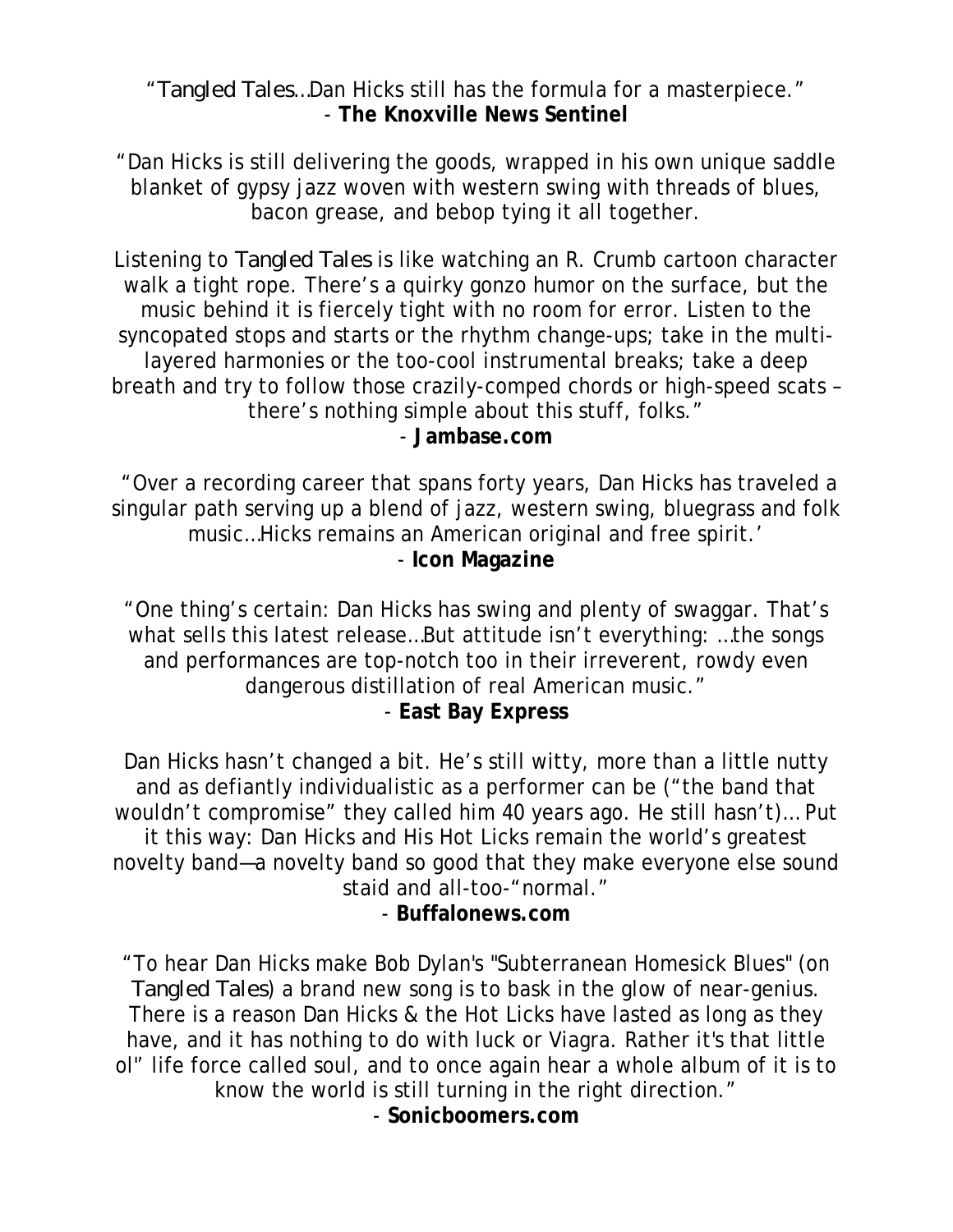"*Tangled Tales*…Dan Hicks still has the formula for a masterpiece." - **The Knoxville News Sentinel**

"Dan Hicks is still delivering the goods, wrapped in his own unique saddle blanket of gypsy jazz woven with western swing with threads of blues, bacon grease, and bebop tying it all together.

Listening to *Tangled Tales* is like watching an R. Crumb cartoon character walk a tight rope. There's a quirky gonzo humor on the surface, but the music behind it is fiercely tight with no room for error. Listen to the syncopated stops and starts or the rhythm change-ups; take in the multilayered harmonies or the too-cool instrumental breaks; take a deep breath and try to follow those crazily-comped chords or high-speed scats – there's nothing simple about this stuff, folks." - **Jambase.com**

 "Over a recording career that spans forty years, Dan Hicks has traveled a singular path serving up a blend of jazz, western swing, bluegrass and folk music…Hicks remains an American original and free spirit.' - **Icon Magazine**

"One thing's certain: Dan Hicks has swing and plenty of swaggar. That's what sells this latest release…But attitude isn't everything: …the songs and performances are top-notch too in their irreverent, rowdy even dangerous distillation of real American music." - **East Bay Express**

Dan Hicks hasn't changed a bit. He's still witty, more than a little nutty and as defiantly individualistic as a performer can be ("the band that wouldn't compromise" they called him 40 years ago. He still hasn't)… Put it this way: Dan Hicks and His Hot Licks remain the world's greatest novelty band—a novelty band so good that they make everyone else sound staid and all-too-"normal."

- **Buffalonews.com**

"To hear Dan Hicks make Bob Dylan's "Subterranean Homesick Blues" (on *Tangled Tales*) a brand new song is to bask in the glow of near-genius. There is a reason Dan Hicks & the Hot Licks have lasted as long as they have, and it has nothing to do with luck or Viagra. Rather it's that little ol'' life force called soul, and to once again hear a whole album of it is to know the world is still turning in the right direction." - **Sonicboomers.com**